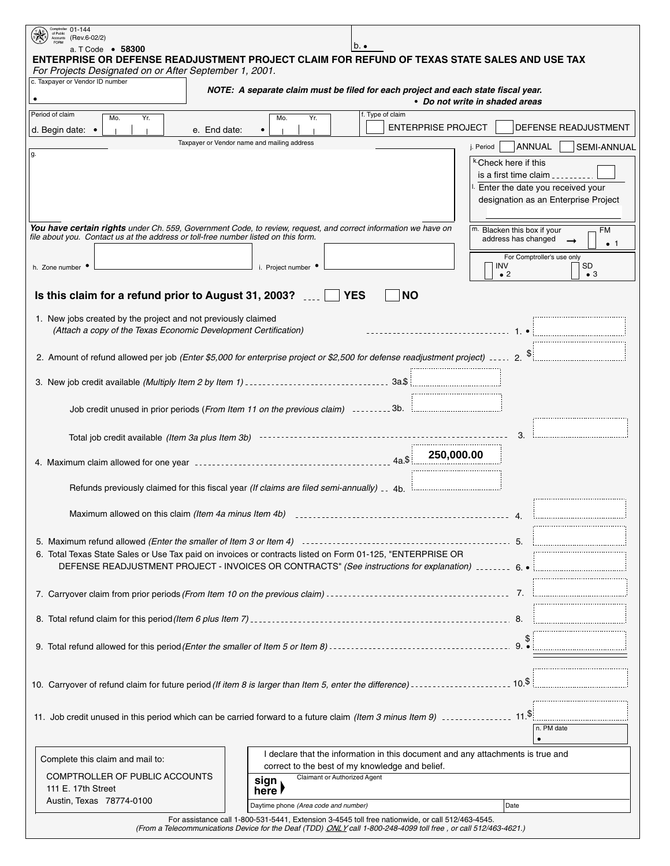| Comptroller 01-144<br>of Public<br>(Rev.6-02/2)<br>Accounts                                                    |                                                                                                                                                                                               |  |
|----------------------------------------------------------------------------------------------------------------|-----------------------------------------------------------------------------------------------------------------------------------------------------------------------------------------------|--|
| a. T Code • 58300                                                                                              | $b.$ .<br>ENTERPRISE OR DEFENSE READJUSTMENT PROJECT CLAIM FOR REFUND OF TEXAS STATE SALES AND USE TAX                                                                                        |  |
| For Projects Designated on or After September 1, 2001.                                                         |                                                                                                                                                                                               |  |
| c. Taxpayer or Vendor ID number                                                                                | NOTE: A separate claim must be filed for each project and each state fiscal year.                                                                                                             |  |
|                                                                                                                | • Do not write in shaded areas                                                                                                                                                                |  |
| Period of claim<br>Mo.<br>Yr.                                                                                  | f. Type of claim<br>Mo.<br>Yr.<br><b>ENTERPRISE PROJECT</b><br>DEFENSE READJUSTMENT                                                                                                           |  |
| d. Begin date: •                                                                                               | e. End date:<br>Taxpayer or Vendor name and mailing address                                                                                                                                   |  |
| ۱g.                                                                                                            | ANNUAL<br>j. Period<br><b>SEMI-ANNUAL</b>                                                                                                                                                     |  |
|                                                                                                                | <sup>k.</sup> Check here if this<br>is a first time claim $\frac{1}{2}$                                                                                                                       |  |
| I. Enter the date you received your                                                                            |                                                                                                                                                                                               |  |
|                                                                                                                | designation as an Enterprise Project                                                                                                                                                          |  |
|                                                                                                                |                                                                                                                                                                                               |  |
| file about you. Contact us at the address or toll-free number listed on this form.                             | You have certain rights under Ch. 559, Government Code, to review, request, and correct information we have on<br>Blacken this box if your<br><b>FM</b><br>address has changed<br>$\bullet$ 1 |  |
|                                                                                                                | For Comptroller's use only                                                                                                                                                                    |  |
| h. Zone number                                                                                                 | SD<br>i. Project number<br>INV<br>$\bullet$ 2<br>$\bullet$ 3                                                                                                                                  |  |
| Is this claim for a refund prior to August 31, 2003?                                                           | <b>YES</b><br><b>NO</b>                                                                                                                                                                       |  |
|                                                                                                                |                                                                                                                                                                                               |  |
| 1. New jobs created by the project and not previously claimed                                                  |                                                                                                                                                                                               |  |
| (Attach a copy of the Texas Economic Development Certification)                                                |                                                                                                                                                                                               |  |
|                                                                                                                | 2. Amount of refund allowed per job (Enter \$5,000 for enterprise project or \$2,500 for defense readjustment project)  2. \$                                                                 |  |
|                                                                                                                |                                                                                                                                                                                               |  |
|                                                                                                                |                                                                                                                                                                                               |  |
|                                                                                                                | Job credit unused in prior periods (From Item 11 on the previous claim) 3b. [[[[[[[[[[[[[[[[[[[[[[[                                                                                           |  |
|                                                                                                                |                                                                                                                                                                                               |  |
|                                                                                                                |                                                                                                                                                                                               |  |
|                                                                                                                |                                                                                                                                                                                               |  |
|                                                                                                                |                                                                                                                                                                                               |  |
|                                                                                                                | Refunds previously claimed for this fiscal year (If claims are filed semi-annually) 1140.                                                                                                     |  |
| Maximum allowed on this claim (Item 4a minus Item 4b) [100] [100] [100] [100] [100] [100] [100] [100] [100] [1 |                                                                                                                                                                                               |  |
|                                                                                                                |                                                                                                                                                                                               |  |
|                                                                                                                |                                                                                                                                                                                               |  |
|                                                                                                                | 6. Total Texas State Sales or Use Tax paid on invoices or contracts listed on Form 01-125, "ENTERPRISE OR                                                                                     |  |
|                                                                                                                |                                                                                                                                                                                               |  |
|                                                                                                                |                                                                                                                                                                                               |  |
|                                                                                                                |                                                                                                                                                                                               |  |
|                                                                                                                |                                                                                                                                                                                               |  |
|                                                                                                                |                                                                                                                                                                                               |  |
|                                                                                                                |                                                                                                                                                                                               |  |
|                                                                                                                |                                                                                                                                                                                               |  |
|                                                                                                                |                                                                                                                                                                                               |  |
|                                                                                                                |                                                                                                                                                                                               |  |
|                                                                                                                | n. PM date                                                                                                                                                                                    |  |
|                                                                                                                | $\bullet$                                                                                                                                                                                     |  |
| Complete this claim and mail to:                                                                               | I declare that the information in this document and any attachments is true and<br>correct to the best of my knowledge and belief.                                                            |  |
| COMPTROLLER OF PUBLIC ACCOUNTS                                                                                 | Claimant or Authorized Agent<br>sign                                                                                                                                                          |  |
| 111 E. 17th Street<br>Austin, Texas 78774-0100                                                                 | here <i>l</i>                                                                                                                                                                                 |  |
|                                                                                                                | Daytime phone (Area code and number)<br>Date<br>For assistance call 1-800-531-5441, Extension 3-4545 toll free nationwide, or call 512/463-4545.                                              |  |

(From a Telecommunications Device for the Deaf (TDD) *ONLY* call 1-800-248-4099 toll free , or call 512/463-4621.)